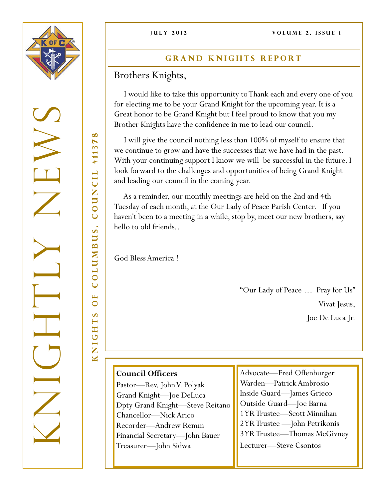

KNIGHTS OF COLUMBUS, COUNCIL #11378  $\infty$  $\blacktriangleright$ #1137 COUNCIL COLUMBUS,  $\mathbf{L}$  $\bullet$  $\bullet$ NIGHT

 $\overline{\mathbf{M}}$ 

## **GRAND KNIGHTS REPORT**

Brothers Knights,

 I would like to take this opportunity to Thank each and every one of you for electing me to be your Grand Knight for the upcoming year. It is a Great honor to be Grand Knight but I feel proud to know that you my Brother Knights have the confidence in me to lead our council.

 I will give the council nothing less than 100% of myself to ensure that we continue to grow and have the successes that we have had in the past. With your continuing support I know we will be successful in the future. I look forward to the challenges and opportunities of being Grand Knight and leading our council in the coming year.

 As a reminder, our monthly meetings are held on the 2nd and 4th Tuesday of each month, at the Our Lady of Peace Parish Center. If you haven't been to a meeting in a while, stop by, meet our new brothers, say hello to old friends..

God Bless America !

"Our Lady of Peace … Pray for Us" Vivat Jesus, Joe De Luca Jr.

## **Council Officers**

Pastor—Rev. John V. Polyak Grand Knight—Joe DeLuca Dpty Grand Knight—Steve Reitano Chancellor—Nick Arico Recorder—Andrew Remm Financial Secretary—John Bauer Treasurer—John Sidwa

Advocate—Fred Offenburger Warden—Patrick Ambrosio Inside Guard—James Grieco Outside Guard—Joe Barna 1 YR Trustee—Scott Minnihan 2 YR Trustee —John Petrikonis 3 YR Trustee—Thomas McGivney Lecturer—Steve Csontos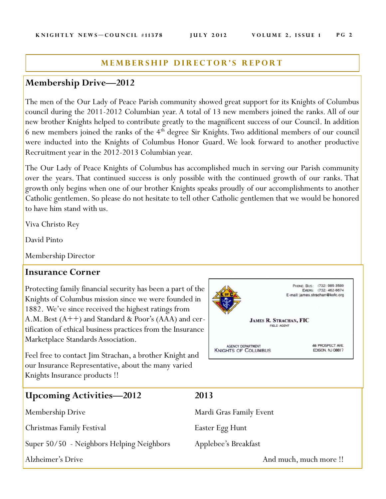#### **MEMBERSHIP DIRECTOR'S REPORT**

## **Membership Drive—2012**

The men of the Our Lady of Peace Parish community showed great support for its Knights of Columbus council during the 2011-2012 Columbian year. A total of 13 new members joined the ranks. All of our new brother Knights helped to contribute greatly to the magnificent success of our Council. In addition 6 new members joined the ranks of the  $4<sup>th</sup>$  degree Sir Knights. Two additional members of our council were inducted into the Knights of Columbus Honor Guard. We look forward to another productive Recruitment year in the 2012-2013 Columbian year.

The Our Lady of Peace Knights of Columbus has accomplished much in serving our Parish community over the years. That continued success is only possible with the continued growth of our ranks. That growth only begins when one of our brother Knights speaks proudly of our accomplishments to another Catholic gentlemen. So please do not hesitate to tell other Catholic gentlemen that we would be honored to have him stand with us.

Viva Christo Rey

David Pinto

Membership Director

### **Insurance Corner**

Protecting family financial security has been a part of the Knights of Columbus mission since we were founded in 1882. We've since received the highest ratings from A.M. Best (A++) and Standard & Poor's (AAA) and certification of ethical business practices from the Insurance Marketplace Standards Association.

Feel free to contact Jim Strachan, a brother Knight and our Insurance Representative, about the many varied Knights Insurance products !!



| <b>Upcoming Activities—2012</b>           | 2013                    |
|-------------------------------------------|-------------------------|
| <b>Membership Drive</b>                   | Mardi Gras Family Event |
| Christmas Family Festival                 | Easter Egg Hunt         |
| Super 50/50 - Neighbors Helping Neighbors | Applebee's Breakfast    |
| Alzheimer's Drive                         | And much, much more!!   |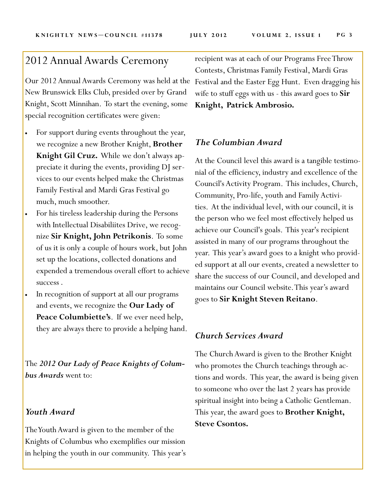# 2012 Annual Awards Ceremony

Our 2012 Annual Awards Ceremony was held at the New Brunswick Elks Club, presided over by Grand Knight, Scott Minnihan. To start the evening, some special recognition certificates were given:

- For support during events throughout the year, we recognize a new Brother Knight, **Brother Knight Gil Cruz.** While we don't always appreciate it during the events, providing DJ services to our events helped make the Christmas Family Festival and Mardi Gras Festival go much, much smoother.
- For his tireless leadership during the Persons with Intellectual Disabiliites Drive, we recognize **Sir Knight, John Petrikonis**. To some of us it is only a couple of hours work, but John set up the locations, collected donations and expended a tremendous overall effort to achieve success .
- In recognition of support at all our programs and events, we recognize the **Our Lady of Peace Columbiette's**. If we ever need help, they are always there to provide a helping hand.

The *2012 Our Lady of Peace Knights of Columbus Awards* went to:

### *Youth Award*

The Youth Award is given to the member of the Knights of Columbus who exemplifies our mission in helping the youth in our community. This year's

recipient was at each of our Programs Free Throw Contests, Christmas Family Festival, Mardi Gras Festival and the Easter Egg Hunt. Even dragging his wife to stuff eggs with us - this award goes to **Sir Knight, Patrick Ambrosio.**

## *The Columbian Award*

At the Council level this award is a tangible testimonial of the efficiency, industry and excellence of the Council's Activity Program. This includes, Church, Community, Pro-life, youth and Family Activities. At the individual level, with our council, it is the person who we feel most effectively helped us achieve our Council's goals. This year's recipient assisted in many of our programs throughout the year. This year's award goes to a knight who provided support at all our events, created a newsletter to share the success of our Council, and developed and maintains our Council website. This year's award goes to **Sir Knight Steven Reitano**.

## *Church Services Award*

The Church Award is given to the Brother Knight who promotes the Church teachings through actions and words. This year, the award is being given to someone who over the last 2 years has provide spiritual insight into being a Catholic Gentleman. This year, the award goes to **Brother Knight, Steve Csontos.**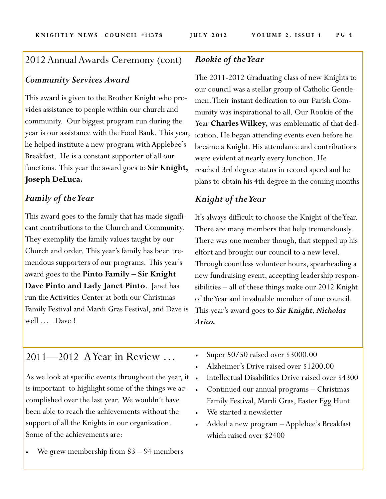# 2012 Annual Awards Ceremony (cont)

## *Community Services Award*

This award is given to the Brother Knight who provides assistance to people within our church and community. Our biggest program run during the year is our assistance with the Food Bank. This year, he helped institute a new program with Applebee's Breakfast. He is a constant supporter of all our functions. This year the award goes to **Sir Knight, Joseph DeLuca.**

## *Family of the Year*

This award goes to the family that has made significant contributions to the Church and Community. They exemplify the family values taught by our Church and order. This year's family has been tremendous supporters of our programs. This year's award goes to the **Pinto Family – Sir Knight Dave Pinto and Lady Janet Pinto**. Janet has run the Activities Center at both our Christmas Family Festival and Mardi Gras Festival, and Dave is well … Dave !

## *Rookie of the Year*

The 2011-2012 Graduating class of new Knights to our council was a stellar group of Catholic Gentlemen. Their instant dedication to our Parish Community was inspirational to all. Our Rookie of the Year **Charles Wilkey,** was emblematic of that dedication. He began attending events even before he became a Knight. His attendance and contributions were evident at nearly every function. He reached 3rd degree status in record speed and he plans to obtain his 4th degree in the coming months

## *Knight of the Year*

It's always difficult to choose the Knight of the Year. There are many members that help tremendously. There was one member though, that stepped up his effort and brought our council to a new level. Through countless volunteer hours, spearheading a new fundraising event, accepting leadership responsibilities – all of these things make our 2012 Knight of the Year and invaluable member of our council. This year's award goes to *Sir Knight, Nicholas Arico.*

# 2011—2012 A Year in Review …

As we look at specific events throughout the year, it . is important to highlight some of the things we accomplished over the last year. We wouldn't have been able to reach the achievements without the support of all the Knights in our organization. Some of the achievements are:

We grew membership from 83 – 94 members

- Super 50/50 raised over \$3000.00
- Alzheimer's Drive raised over \$1200.00
- Intellectual Disabilities Drive raised over \$4300
- Continued our annual programs Christmas Family Festival, Mardi Gras, Easter Egg Hunt
- We started a newsletter
- Added a new program –Applebee's Breakfast which raised over \$2400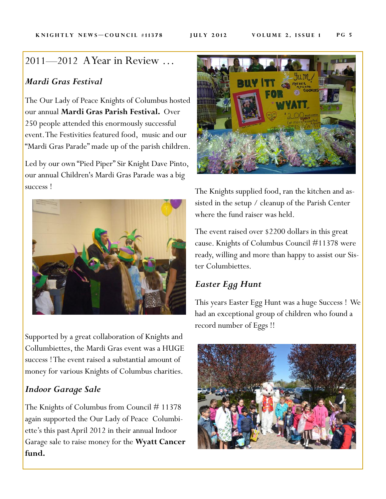# 2011—2012 A Year in Review …

## *Mardi Gras Festival*

The Our Lady of Peace Knights of Columbus hosted our annual **Mardi Gras Parish Festival.** Over 250 people attended this enormously successful event. The Festivities featured food, music and our "Mardi Gras Parade" made up of the parish children.

Led by our own "Pied Piper" Sir Knight Dave Pinto, our annual Children's Mardi Gras Parade was a big success !



Supported by a great collaboration of Knights and Collumbiettes, the Mardi Gras event was a HUGE success ! The event raised a substantial amount of money for various Knights of Columbus charities.

## *Indoor Garage Sale*

The Knights of Columbus from Council # 11378 again supported the Our Lady of Peace Columbiette's this past April 2012 in their annual Indoor Garage sale to raise money for the **Wyatt Cancer fund.**



The Knights supplied food, ran the kitchen and assisted in the setup / cleanup of the Parish Center where the fund raiser was held.

The event raised over \$2200 dollars in this great cause. Knights of Columbus Council #11378 were ready, willing and more than happy to assist our Sister Columbiettes.

## *Easter Egg Hunt*

This years Easter Egg Hunt was a huge Success ! We had an exceptional group of children who found a record number of Eggs !!

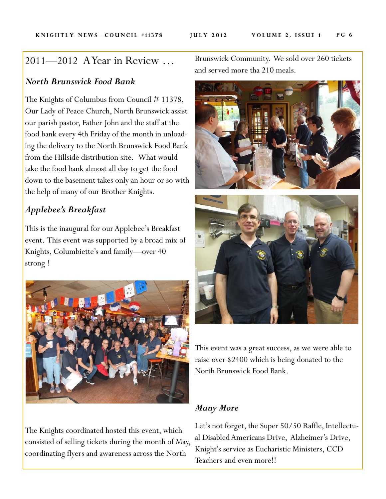# 2011—2012 A Year in Review …

## *North Brunswick Food Bank*

The Knights of Columbus from Council # 11378, Our Lady of Peace Church, North Brunswick assist our parish pastor, Father John and the staff at the food bank every 4th Friday of the month in unloading the delivery to the North Brunswick Food Bank from the Hillside distribution site. What would take the food bank almost all day to get the food down to the basement takes only an hour or so with the help of many of our Brother Knights.

## *Applebee's Breakfast*

This is the inaugural for our Applebee's Breakfast event. This event was supported by a broad mix of Knights, Columbiette's and family—over 40 strong !



The Knights coordinated hosted this event, which consisted of selling tickets during the month of May, coordinating flyers and awareness across the North

Brunswick Community. We sold over 260 tickets and served more tha 210 meals.





This event was a great success, as we were able to raise over \$2400 which is being donated to the North Brunswick Food Bank.

## *Many More*

Let's not forget, the Super 50/50 Raffle, Intellectual Disabled Americans Drive, Alzheimer's Drive, Knight's service as Eucharistic Ministers, CCD Teachers and even more!!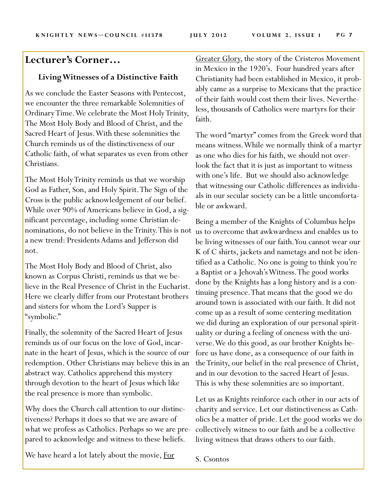# **Lecturer's Corner…**

#### **Living Witnesses of a Distinctive Faith**

As we conclude the Easter Seasons with Pentecost, we encounter the three remarkable Solemnities of Ordinary Time. We celebrate the Most Holy Trinity, The Most Holy Body and Blood of Christ, and the Sacred Heart of Jesus. With these solemnities the Church reminds us of the distinctiveness of our Catholic faith, of what separates us even from other Christians.

The Most Holy Trinity reminds us that we worship God as Father, Son, and Holy Spirit. The Sign of the Cross is the public acknowledgement of our belief. While over 90% of Americans believe in God, a significant percentage, including some Christian denominations, do not believe in the Trinity. This is not a new trend: Presidents Adams and Jefferson did not.

The Most Holy Body and Blood of Christ, also known as Corpus Christi, reminds us that we believe in the Real Presence of Christ in the Eucharist. Here we clearly differ from our Protestant brothers and sisters for whom the Lord's Supper is "symbolic."

Finally, the solemnity of the Sacred Heart of Jesus reminds us of our focus on the love of God, incarnate in the heart of Jesus, which is the source of our redemption. Other Christians may believe this in an abstract way. Catholics apprehend this mystery through devotion to the heart of Jesus which like the real presence is more than symbolic.

Why does the Church call attention to our distinctiveness? Perhaps it does so that we are aware of what we profess as Catholics. Perhaps so we are prepared to acknowledge and witness to these beliefs.

We have heard a lot lately about the movie, For

Greater Glory, the story of the Cristeros Movement in Mexico in the 1920's. Four hundred years after Christianity had been established in Mexico, it probably came as a surprise to Mexicans that the practice of their faith would cost them their lives. Nevertheless, thousands of Catholics were martyrs for their faith.

The word "martyr" comes from the Greek word that means witness. While we normally think of a martyr as one who dies for his faith, we should not overlook the fact that it is just as important to witness with one's life. But we should also acknowledge that witnessing our Catholic differences as individuals in our secular society can be a little uncomfortable or awkward.

Being a member of the Knights of Columbus helps us to overcome that awkwardness and enables us to be living witnesses of our faith. You cannot wear our K of C shirts, jackets and nametags and not be identified as a Catholic. No one is going to think you're a Baptist or a Jehovah's Witness. The good works done by the Knights has a long history and is a continuing presence. That means that the good we do around town is associated with our faith. It did not come up as a result of some centering meditation we did during an exploration of our personal spirituality or during a feeling of oneness with the universe. We do this good, as our brother Knights before us have done, as a consequence of our faith in the Trinity, our belief in the real presence of Christ, and in our devotion to the sacred Heart of Jesus. This is why these solemnities are so important.

Let us as Knights reinforce each other in our acts of charity and service. Let our distinctiveness as Catholics be a matter of pride. Let the good works we do collectively witness to our faith and be a collective living witness that draws others to our faith.

S. Csontos